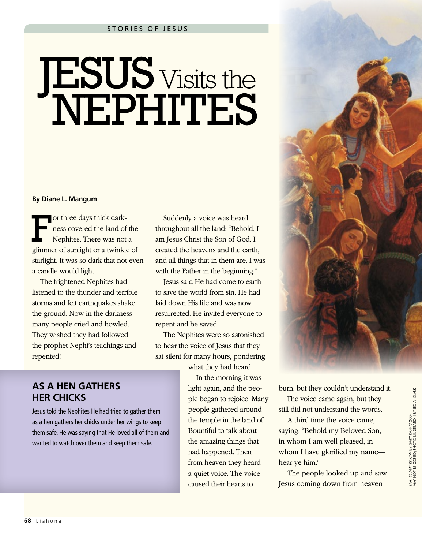## **JESUS** Visits the NEPHITES

## **By Diane L. Mangum**

or three days thick dark-<br>ness covered the land of<br>Nephites. There was not ness covered the land of the Nephites. There was not a glimmer of sunlight or a twinkle of starlight. It was so dark that not even a candle would light.

The frightened Nephites had listened to the thunder and terrible storms and felt earthquakes shake the ground. Now in the darkness many people cried and howled. They wished they had followed the prophet Nephi's teachings and repented!

**AS A HEN GATHERS** 

Jesus told the Nephites He had tried to gather them as a hen gathers her chicks under her wings to keep them safe. He was saying that He loved all of them and wanted to watch over them and keep them safe.

**HER CHICKS**

Suddenly a voice was heard throughout all the land: "Behold, I am Jesus Christ the Son of God. I created the heavens and the earth, and all things that in them are. I was with the Father in the beginning."

Jesus said He had come to earth to save the world from sin. He had laid down His life and was now resurrected. He invited everyone to repent and be saved.

The Nephites were so astonished to hear the voice of Jesus that they sat silent for many hours, pondering

what they had heard.

In the morning it was light again, and the people began to rejoice. Many people gathered around the temple in the land of Bountiful to talk about the amazing things that had happened. Then from heaven they heard a quiet voice. The voice caused their hearts to

burn, but they couldn't understand it. The voice came again, but they still did not understand the words.

A third time the voice came, saying, "Behold my Beloved Son, in whom I am well pleased, in whom I have glorified my name hear ye him."

The people looked up and saw Jesus coming down from heaven

THAT YE MAY KNOW, BY GARY KAPP © 2004,<br>MAY NOT BE COPIED; PHOTO ILLUSTRATION BY JED A. CLARK MAY NOT BE COPIED; PHOTO ILLUSTRATION BY JED A. CLARK*THAT YE MAY KNOW,* BY GARY KAPP © 2004,